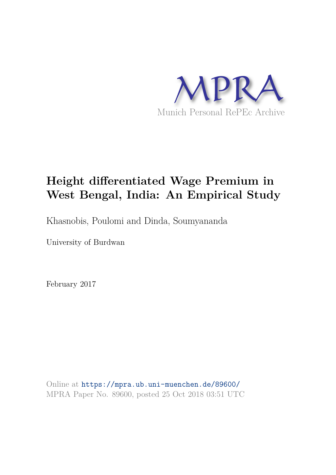

# **Height differentiated Wage Premium in West Bengal, India: An Empirical Study**

Khasnobis, Poulomi and Dinda, Soumyananda

University of Burdwan

February 2017

Online at https://mpra.ub.uni-muenchen.de/89600/ MPRA Paper No. 89600, posted 25 Oct 2018 03:51 UTC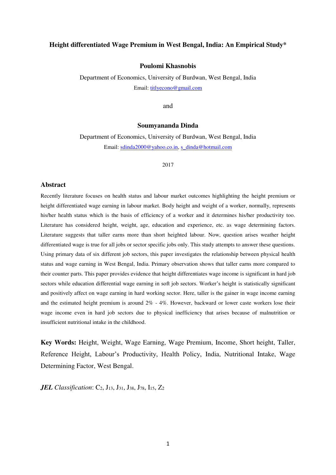# **Height differentiated Wage Premium in West Bengal, India: An Empirical Study\***

### **Poulomi Khasnobis**

Department of Economics, University of Burdwan, West Bengal, India Email: [titlyecono@gmail.com](mailto:titlyecono@gmail.com) 

and

#### **Soumyananda Dinda**

Department of Economics, University of Burdwan, West Bengal, India Email: [sdinda2000@yahoo.co.in,](mailto:sdinda2000@yahoo.co.in) [s\\_dinda@hotmail.com](mailto:s_dinda@hotmail.com)

#### 2017

#### **Abstract**

Recently literature focuses on health status and labour market outcomes highlighting the height premium or height differentiated wage earning in labour market. Body height and weight of a worker, normally, represents his/her health status which is the basis of efficiency of a worker and it determines his/her productivity too. Literature has considered height, weight, age, education and experience, etc. as wage determining factors. Literature suggests that taller earns more than short heighted labour. Now, question arises weather height differentiated wage is true for all jobs or sector specific jobs only. This study attempts to answer these questions. Using primary data of six different job sectors, this paper investigates the relationship between physical health status and wage earning in West Bengal, India. Primary observation shows that taller earns more compared to their counter parts. This paper provides evidence that height differentiates wage income is significant in hard job sectors while education differential wage earning in soft job sectors. Worker's height is statistically significant and positively affect on wage earning in hard working sector. Here, taller is the gainer in wage income earning and the estimated height premium is around  $2\%$  - 4%. However, backward or lower caste workers lose their wage income even in hard job sectors due to physical inefficiency that arises because of malnutrition or insufficient nutritional intake in the childhood.

**Key Words:** Height, Weight, Wage Earning, Wage Premium, Income, Short height, Taller, Reference Height, Labour's Productivity, Health Policy, India, Nutritional Intake, Wage Determining Factor, West Bengal.

*JEL Classification*: C<sub>2</sub>, J<sub>13</sub>, J<sub>31</sub>, J<sub>38</sub>, J<sub>78</sub>, I<sub>15</sub>, Z<sub>2</sub>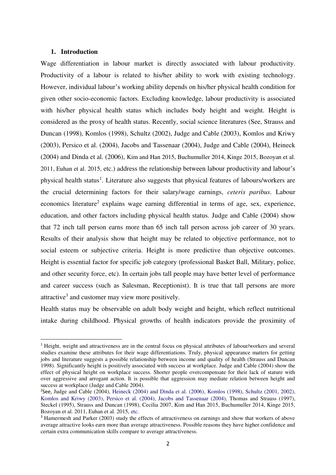# **1. Introduction**

-

Wage differentiation in labour market is directly associated with labour productivity. Productivity of a labour is related to his/her ability to work with existing technology. However, individual labour's working ability depends on his/her physical health condition for given other socio-economic factors. Excluding knowledge, labour productivity is associated with his/her physical health status which includes body height and weight. Height is considered as the proxy of health status. Recently, social science literatures (See, Strauss and Duncan (1998), Komlos (1998), Schultz (2002), Judge and Cable (2003), Komlos and Kriwy (2003), Persico et al. (2004), Jacobs and Tassenaar (2004), Judge and Cable (2004), Heineck (2004) and Dinda et al. (2006), Kim and Han 2015, Buchumuller 2014, Kinge 2015, Bozoyan et al. 2011, Euhan et al. 2015, etc.) address the relationship between labour productivity and labour's physical health status<sup>1</sup>. Literature also suggests that physical features of labours/workers are the crucial determining factors for their salary/wage earnings, *ceteris paribus*. Labour economics literature<sup>2</sup> explains wage earning differential in terms of age, sex, experience, education, and other factors including physical health status. Judge and Cable (2004) show that 72 inch tall person earns more than 65 inch tall person across job career of 30 years. Results of their analysis show that height may be related to objective performance, not to social esteem or subjective criteria. Height is more predictive than objective outcomes. Height is essential factor for specific job category (professional Basket Ball, Military, police, and other security force, etc). In certain jobs tall people may have better level of performance and career success (such as Salesman, Receptionist). It is true that tall persons are more attractive<sup>3</sup> and customer may view more positively.

Health status may be observable on adult body weight and height, which reflect nutritional intake during childhood. Physical growths of health indicators provide the proximity of

<sup>1</sup> Height, weight and attractiveness are in the central focus on physical attributes of labour/workers and several studies examine these attributes for their wage differentiations. Truly, physical appearance matters for getting jobs and literature suggests a possible relationship between income and quality of health (Strauss and Duncan 1998). Significantly height is positively associated with success at workplace. Judge and Cable (2004) show the effect of physical height on workplace success. Shorter people overcompensate for their lack of stature with over aggressive and arrogant action. It is possible that aggression may mediate relation between height and success at workplace (Judge and Cable 2004).

<sup>&</sup>lt;sup>2</sup>See, Judge and Cable (2004), Heineck (2004) and Dinda et al. (2006), Komlos (1998), Schultz (2001, 2002), Komlos and Kriwy (2003), Persico et al. (2004), Jacobs and Tassenaar (2004), Thomas and Strauss (1997), Steckel (1995), Strauss and Duncan (1998), Cecilia 2007, Kim and Han 2015, Buchumuller 2014, Kinge 2015, Bozoyan et al. 2011, Euhan et al. 2015, etc.

<sup>&</sup>lt;sup>3</sup> Hamermesh and Parker (2003) study the effects of attractiveness on earnings and show that workers of above average attractive looks earn more than average attractiveness. Possible reasons they have higher confidence and certain extra communication skills compare to average attractiveness.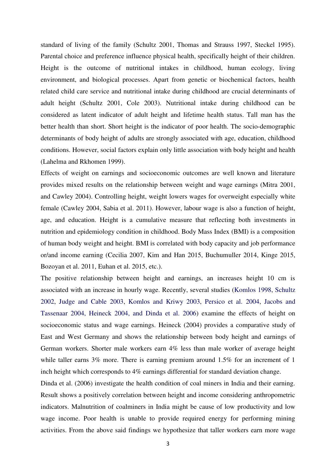standard of living of the family (Schultz 2001, Thomas and Strauss 1997, Steckel 1995). Parental choice and preference influence physical health, specifically height of their children. Height is the outcome of nutritional intakes in childhood, human ecology, living environment, and biological processes. Apart from genetic or biochemical factors, health related child care service and nutritional intake during childhood are crucial determinants of adult height (Schultz 2001, Cole 2003). Nutritional intake during childhood can be considered as latent indicator of adult height and lifetime health status. Tall man has the better health than short. Short height is the indicator of poor health. The socio-demographic determinants of body height of adults are strongly associated with age, education, childhood conditions. However, social factors explain only little association with body height and health (Lahelma and Rkhomen 1999).

Effects of weight on earnings and socioeconomic outcomes are well known and literature provides mixed results on the relationship between weight and wage earnings (Mitra 2001, and Cawley 2004). Controlling height, weight lowers wages for overweight especially white female (Cawley 2004, Sabia et al. 2011). However, labour wage is also a function of height, age, and education. Height is a cumulative measure that reflecting both investments in nutrition and epidemiology condition in childhood. Body Mass Index (BMI) is a composition of human body weight and height. BMI is correlated with body capacity and job performance or/and income earning (Cecilia 2007, Kim and Han 2015, Buchumuller 2014, Kinge 2015, Bozoyan et al. 2011, Euhan et al. 2015, etc.).

The positive relationship between height and earnings, an increases height 10 cm is associated with an increase in hourly wage. Recently, several studies (Komlos 1998, Schultz 2002, Judge and Cable 2003, Komlos and Kriwy 2003, Persico et al. 2004, Jacobs and Tassenaar 2004, Heineck 2004, and Dinda et al. 2006) examine the effects of height on socioeconomic status and wage earnings. Heineck (2004) provides a comparative study of East and West Germany and shows the relationship between body height and earnings of German workers. Shorter male workers earn 4% less than male worker of average height while taller earns 3% more. There is earning premium around 1.5% for an increment of 1 inch height which corresponds to 4% earnings differential for standard deviation change.

Dinda et al. (2006) investigate the health condition of coal miners in India and their earning. Result shows a positively correlation between height and income considering anthropometric indicators. Malnutrition of coalminers in India might be cause of low productivity and low wage income. Poor health is unable to provide required energy for performing mining activities. From the above said findings we hypothesize that taller workers earn more wage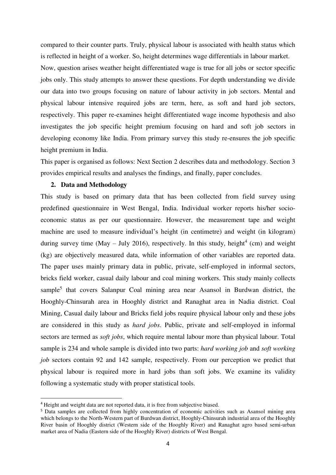compared to their counter parts. Truly, physical labour is associated with health status which is reflected in height of a worker. So, height determines wage differentials in labour market.

Now, question arises weather height differentiated wage is true for all jobs or sector specific jobs only. This study attempts to answer these questions. For depth understanding we divide our data into two groups focusing on nature of labour activity in job sectors. Mental and physical labour intensive required jobs are term, here, as soft and hard job sectors, respectively. This paper re-examines height differentiated wage income hypothesis and also investigates the job specific height premium focusing on hard and soft job sectors in developing economy like India. From primary survey this study re-ensures the job specific height premium in India.

This paper is organised as follows: Next Section 2 describes data and methodology. Section 3 provides empirical results and analyses the findings, and finally, paper concludes.

## **2. Data and Methodology**

-

This study is based on primary data that has been collected from field survey using predefined questionnaire in West Bengal, India. Individual worker reports his/her socioeconomic status as per our questionnaire. However, the measurement tape and weight machine are used to measure individual's height (in centimetre) and weight (in kilogram) during survey time (May – July 2016), respectively. In this study, height<sup>4</sup> (cm) and weight (kg) are objectively measured data, while information of other variables are reported data. The paper uses mainly primary data in public, private, self-employed in informal sectors, bricks field worker, casual daily labour and coal mining workers. This study mainly collects sample<sup>5</sup> that covers Salanpur Coal mining area near Asansol in Burdwan district, the Hooghly-Chinsurah area in Hooghly district and Ranaghat area in Nadia district. Coal Mining, Casual daily labour and Bricks field jobs require physical labour only and these jobs are considered in this study as *hard jobs*. Public, private and self-employed in informal sectors are termed as *soft jobs*, which require mental labour more than physical labour. Total sample is 234 and whole sample is divided into two parts: *hard working job* and *soft working job* sectors contain 92 and 142 sample, respectively. From our perception we predict that physical labour is required more in hard jobs than soft jobs. We examine its validity following a systematic study with proper statistical tools.

<sup>4</sup> Height and weight data are not reported data, it is free from subjective biased.

<sup>5</sup> Data samples are collected from highly concentration of economic activities such as Asansol mining area which belongs to the North-Western part of Burdwan district, Hooghly-Chinsurah industrial area of the Hooghly River basin of Hooghly district (Western side of the Hooghly River) and Ranaghat agro based semi-urban market area of Nadia (Eastern side of the Hooghly River) districts of West Bengal.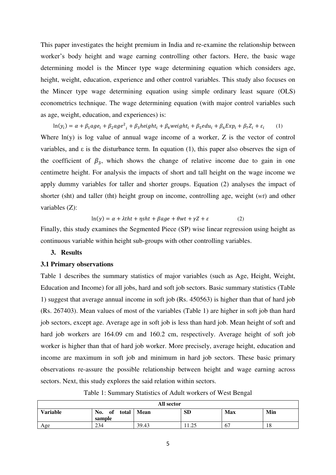This paper investigates the height premium in India and re-examine the relationship between worker's body height and wage earning controlling other factors. Here, the basic wage determining model is the Mincer type wage determining equation which considers age, height, weight, education, experience and other control variables. This study also focuses on the Mincer type wage determining equation using simple ordinary least square (OLS) econometrics technique. The wage determining equation (with major control variables such as age, weight, education, and experiences) is:

 $\ln(y_i) = \alpha + \beta_1 age_i + \beta_2 age^2_i + \beta_3 height_i + \beta_4 weight_i + \beta_5 edu_i + \beta_6 Exp_i + \beta_7 Z_i + \varepsilon_i$ (1)

Where  $ln(y)$  is log value of annual wage income of a worker,  $Z$  is the vector of control variables, and  $\varepsilon$  is the disturbance term. In equation (1), this paper also observes the sign of the coefficient of  $\beta_3$ , which shows the change of relative income due to gain in one centimetre height. For analysis the impacts of short and tall height on the wage income we apply dummy variables for taller and shorter groups. Equation (2) analyses the impact of shorter (sht) and taller (tht) height group on income, controlling age, weight (*wt*) and other variables (Z):

$$
ln(y) = \alpha + \lambda t h t + \eta s h t + \beta a g e + \theta w t + \gamma Z + \varepsilon
$$
 (2)

Finally, this study examines the Segmented Piece (SP) wise linear regression using height as continuous variable within height sub-groups with other controlling variables.

# **3. Results**

### **3.1 Primary observations**

Table 1 describes the summary statistics of major variables (such as Age, Height, Weight, Education and Income) for all jobs, hard and soft job sectors. Basic summary statistics (Table 1) suggest that average annual income in soft job (Rs. 450563) is higher than that of hard job (Rs. 267403). Mean values of most of the variables (Table 1) are higher in soft job than hard job sectors, except age. Average age in soft job is less than hard job. Mean height of soft and hard job workers are 164.09 cm and 160.2 cm, respectively. Average height of soft job worker is higher than that of hard job worker. More precisely, average height, education and income are maximum in soft job and minimum in hard job sectors. These basic primary observations re-assure the possible relationship between height and wage earning across sectors. Next, this study explores the said relation within sectors.

Table 1: Summary Statistics of Adult workers of West Bengal

| All sector                                                                                |     |       |                 |    |    |  |  |  |  |
|-------------------------------------------------------------------------------------------|-----|-------|-----------------|----|----|--|--|--|--|
| <b>SD</b><br><b>Variable</b><br>Min<br>No.<br>Max<br><b>Mean</b><br>of<br>total<br>sample |     |       |                 |    |    |  |  |  |  |
| Age                                                                                       | 234 | 39.43 | $\cap$<br>11.40 | 67 | 18 |  |  |  |  |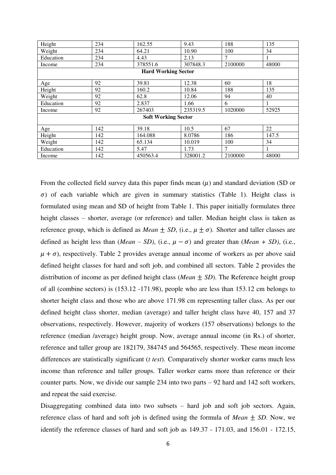| Height    | 234                        | 162.55                     | 9.43     | 188     | 135   |  |  |  |  |  |
|-----------|----------------------------|----------------------------|----------|---------|-------|--|--|--|--|--|
| Weight    | 234                        | 64.21                      | 10.90    | 100     | 34    |  |  |  |  |  |
| Education | 234                        | 4.43                       | 2.13     | 7       | 1     |  |  |  |  |  |
| Income    | 234                        | 378551.6                   | 307848.3 | 2100000 | 48000 |  |  |  |  |  |
|           | <b>Hard Working Sector</b> |                            |          |         |       |  |  |  |  |  |
| Age       | 92                         | 39.81                      | 12.38    | 60      | 18    |  |  |  |  |  |
| Height    | 92                         | 160.2                      | 10.84    | 188     | 135   |  |  |  |  |  |
| Weight    | 92                         | 62.8                       | 12.06    | 94      | 40    |  |  |  |  |  |
| Education | 92                         | 2.837                      | 1.66     | 6       | 1     |  |  |  |  |  |
| Income    | 92                         | 267403                     | 235319.5 | 1020000 | 52925 |  |  |  |  |  |
|           |                            | <b>Soft Working Sector</b> |          |         |       |  |  |  |  |  |
| Age       | 142                        | 39.18                      | 10.5     | 67      | 22    |  |  |  |  |  |
| Height    | 142                        | 164.088                    | 8.0786   | 186     | 147.5 |  |  |  |  |  |
| Weight    | 142                        | 65.134                     | 10.019   | 100     | 34    |  |  |  |  |  |
| Education | 142                        | 5.47                       | 1.73     | 7       |       |  |  |  |  |  |
| Income    | 142                        | 450563.4                   | 328001.2 | 2100000 | 48000 |  |  |  |  |  |

From the collected field survey data this paper finds mean  $(\mu)$  and standard deviation (SD or  $\sigma$ ) of each variable which are given in summary statistics (Table 1). Height class is formulated using mean and SD of height from Table 1. This paper initially formulates three height classes – shorter, average (or reference) and taller. Median height class is taken as reference group, which is defined as *Mean*  $\pm$  *SD*, (i.e.,  $\mu \pm \sigma$ ). Shorter and taller classes are defined as height less than (*Mean – SD*), (i.e.,  $\mu - \sigma$ ) and greater than (*Mean* + *SD*), (i.e.,  $\mu + \sigma$ ), respectively. Table 2 provides average annual income of workers as per above said defined height classes for hard and soft job, and combined all sectors. Table 2 provides the distribution of income as per defined height class (*Mean* ± *SD*). The Reference height group of all (combine sectors) is (153.12 -171.98), people who are less than 153.12 cm belongs to shorter height class and those who are above 171.98 cm representing taller class. As per our defined height class shorter, median (average) and taller height class have 40, 157 and 37 observations, respectively. However, majority of workers (157 observations) belongs to the reference (median /average) height group. Now, average annual income (in Rs.) of shorter, reference and taller group are 182179, 384745 and 564565, respectively. These mean income differences are statistically significant (*t test*). Comparatively shorter worker earns much less income than reference and taller groups. Taller worker earns more than reference or their counter parts. Now, we divide our sample 234 into two parts – 92 hard and 142 soft workers, and repeat the said exercise.

Disaggregating combined data into two subsets – hard job and soft job sectors. Again, reference class of hard and soft job is defined using the formula of *Mean*  $\pm$  *SD*. Now, we identify the reference classes of hard and soft job as 149.37 - 171.03, and 156.01 - 172.15,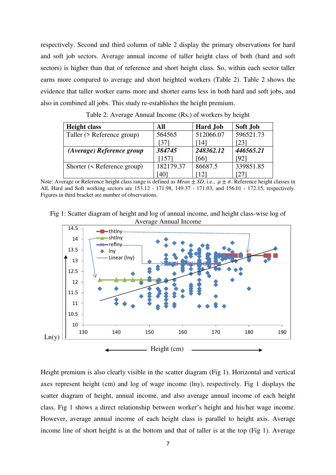respectively. Second and third column of table 2 display the primary observations for hard and soft job sectors. Average annual income of taller height class of both (hard and soft sectors) is higher than that of reference and short height class. So, within each sector taller earns more compared to average and short heighted workers (Table 2). Table 2 shows the evidence that taller worker earns more and shorter earns less in both hard and soft jobs, and also in combined all jobs. This study re-establishes the height premium.

| <b>Height class</b>               | All       | <b>Hard Job</b> | Soft Job  |
|-----------------------------------|-----------|-----------------|-----------|
| Taller (> Reference group)        | 564565    | 512066.07       | 596521.73 |
|                                   | 37 I      | l 141           | [23]      |
| (Average) Reference group         | 384745    | 248362.12       | 446565.21 |
|                                   | [157]     | [66]            | [92]      |
| Shorter ( $\leq$ Reference group) | 182179.37 | 86687.5         | 339851.85 |
|                                   | 40        |                 |           |

Table 2: Average Annual Income (Rs.) of workers by height

Note: Average or Reference height class range is defined as *Mean*  $\pm SD$ , i.e.,  $\mu \pm \sigma$ . Reference height classes in All, Hard and Soft working sectors are 153.12 - 171.98, 149.37 - 171.03, and 156.01 - 172.15, respectively. Figures in third bracket are number of observations.





Height premium is also clearly visible in the scatter diagram (Fig 1). Horizontal and vertical axes represent height (cm) and log of wage income (lny), respectively. Fig 1 displays the scatter diagram of height, annual income, and also average annual income of each height class. Fig 1 shows a direct relationship between worker's height and his/her wage income. However, average annual income of each height class is parallel to height axis. Average income line of short height is at the bottom and that of taller is at the top (Fig 1). Average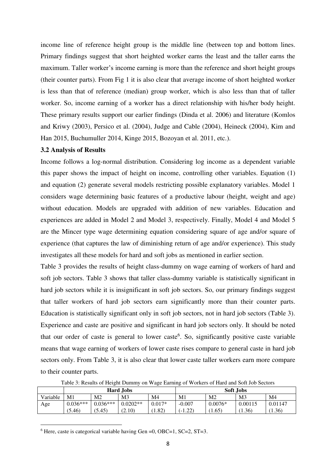income line of reference height group is the middle line (between top and bottom lines. Primary findings suggest that short heighted worker earns the least and the taller earns the maximum. Taller worker's income earning is more than the reference and short height groups (their counter parts). From Fig 1 it is also clear that average income of short heighted worker is less than that of reference (median) group worker, which is also less than that of taller worker. So, income earning of a worker has a direct relationship with his/her body height. These primary results support our earlier findings (Dinda et al. 2006) and literature (Komlos and Kriwy (2003), Persico et al. (2004), Judge and Cable (2004), Heineck (2004), Kim and Han 2015, Buchumuller 2014, Kinge 2015, Bozoyan et al. 2011, etc.).

#### **3.2 Analysis of Results**

Income follows a log-normal distribution. Considering log income as a dependent variable this paper shows the impact of height on income, controlling other variables. Equation (1) and equation (2) generate several models restricting possible explanatory variables. Model 1 considers wage determining basic features of a productive labour (height, weight and age) without education. Models are upgraded with addition of new variables. Education and experiences are added in Model 2 and Model 3, respectively. Finally, Model 4 and Model 5 are the Mincer type wage determining equation considering square of age and/or square of experience (that captures the law of diminishing return of age and/or experience). This study investigates all these models for hard and soft jobs as mentioned in earlier section.

Table 3 provides the results of height class-dummy on wage earning of workers of hard and soft job sectors. Table 3 shows that taller class-dummy variable is statistically significant in hard job sectors while it is insignificant in soft job sectors. So, our primary findings suggest that taller workers of hard job sectors earn significantly more than their counter parts. Education is statistically significant only in soft job sectors, not in hard job sectors (Table 3). Experience and caste are positive and significant in hard job sectors only. It should be noted that our order of caste is general to lower caste<sup>6</sup>. So, significantly positive caste variable means that wage earning of workers of lower caste rises compare to general caste in hard job sectors only. From Table 3, it is also clear that lower caste taller workers earn more compare to their counter parts.

| Table 3: Results of Height Dummy on Wage Earning of Workers of Hard and Soft Job Sectors |  |                  |  |  |                  |  |  |  |
|------------------------------------------------------------------------------------------|--|------------------|--|--|------------------|--|--|--|
|                                                                                          |  | <b>Hard Jobs</b> |  |  | <b>Soft Jobs</b> |  |  |  |
|                                                                                          |  |                  |  |  |                  |  |  |  |

|          | <b>EUDL</b> DIBLE |                |                | <b>SULL</b> , JUDS |           |                |                |                |
|----------|-------------------|----------------|----------------|--------------------|-----------|----------------|----------------|----------------|
| Variable | M1                | M <sub>2</sub> | M <sub>3</sub> | M4                 | M1        | M2             | M <sub>3</sub> | M <sub>4</sub> |
| Age      | $0.036***$        | $0.036***$     | $0.0202**$     | $0.017*$           | $-0.007$  | $0.0076*$      | 0.00115        | 0.01147        |
|          | (5.46)            | (5.45)         | (2.10)         | 1.82)              | $(-1.22)$ | $1.65^{\circ}$ | (1.36)         | (1.36)         |
|          |                   |                |                |                    |           |                |                |                |

<sup>6</sup> Here, caste is categorical variable having Gen =0, OBC=1, SC=2, ST=3.

<u>.</u>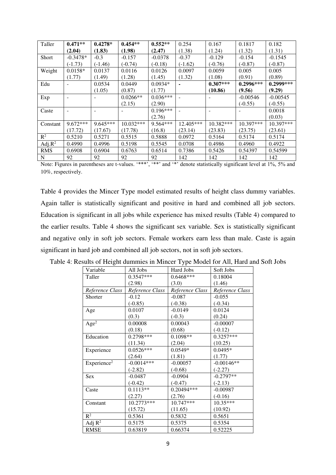| Taller         | $0.471**$  | $0.4278*$  | $0.454**$   | $0.552**$  | 0.254     | 0.167      | 0.1817      | 0.182       |
|----------------|------------|------------|-------------|------------|-----------|------------|-------------|-------------|
|                | (2.04)     | (1.83)     | (1.98)      | (2.47)     | (1.38)    | (1.24)     | (1.32)      | (1.31)      |
| Short          | $-0.3478*$ | $-0.3$     | $-0.157$    | $-0.0378$  | $-0.37$   | $-0.129$   | $-0.154$    | $-0.1545$   |
|                | $(-1.73)$  | $(-1.46)$  | $(-0.74)$   | $(-0.18)$  | $(-1.62)$ | $(-0.76)$  | $(-0.87)$   | $(-0.87)$   |
| Weight         | $0.0158*$  | 0.0137     | 0.0116      | 0.0126     | 0.0097    | 0.0059     | 0.005       | 0.005       |
|                | (1.77)     | (1.49)     | (1.28)      | (1.45)     | (1.32)    | (1.08)     | (0.91)      | (0.89)      |
| Edu            |            | 0.0534     | 0.0449      | $0.0934*$  |           | $0.307***$ | $0.2996***$ | $0.2999***$ |
|                |            | (1.05)     | (0.87)      | (1.77)     |           | (10.86)    | (9.56)      | (9.29)      |
| Exp            |            |            | $0.0266**$  | $0.036***$ |           |            | $-0.00546$  | $-0.00545$  |
|                |            |            | (2.15)      | (2.90)     |           |            | $(-0.55)$   | $(-0.55)$   |
| Caste          |            |            |             | $0.196***$ |           |            |             | 0.0018      |
|                |            |            |             | (2.76)     |           |            |             | (0.03)      |
| Constant       | $9.672***$ | $9.645***$ | $10.032***$ | $9.564***$ | 12.405*** | 10.382***  | $10.397***$ | 10.397***   |
|                | (17.72)    | (17.67)    | (17.78)     | (16.8)     | (23.14)   | (23.83)    | (23.75)     | (23.61)     |
| $\mathbb{R}^2$ | 0.5210     | 0.5271     | 0.5515      | 0.5888     | 0.0972    | 0.5164     | 0.5174      | 0.5174      |
| Adj. $R^2$     | 0.4990     | 0.4996     | 0.5198      | 0.5545     | 0.0708    | 0.4986     | 0.4960      | 0.4922      |
| <b>RMS</b>     | 0.6908     | 0.6904     | 0.6763      | 0.6514     | 0.7386    | 0.5426     | 0.54397     | 0.54599     |
| N              | 92         | 92         | 92          | 92         | 142       | 142        | 142         | 142         |

Note: Figures in parentheses are t-values. '\*\*\*', '\*\*' and '\*' denote statistically significant level at 1%, 5% and 10%, respectively.

Table 4 provides the Mincer Type model estimated results of height class dummy variables. Again taller is statistically significant and positive in hard and combined all job sectors. Education is significant in all jobs while experience has mixed results (Table 4) compared to the earlier results. Table 4 shows the significant sex variable. Sex is statistically significant and negative only in soft job sectors. Female workers earn less than male. Caste is again significant in hard job and combined all job sectors, not in soft job sectors.

| Variable                | All Jobs        | Hard Jobs       | Soft Jobs       |
|-------------------------|-----------------|-----------------|-----------------|
| Taller                  | 0.3547***       | $0.6468***$     | 0.18004         |
|                         | (2.98)          | (3.0)           | (1.46)          |
| Reference Class         | Reference Class | Reference Class | Reference Class |
| Shorter                 | $-0.12$         | $-0.087$        | $-0.055$        |
|                         | $(-0.85)$       | $(-0.38)$       | $(-0.34)$       |
| Age                     | 0.0107          | $-0.0149$       | 0.0124          |
|                         | (0.3)           | $(-0.3)$        | (0.24)          |
| Age <sup>2</sup>        | 0.00008         | 0.00043         | $-0.00007$      |
|                         | (0.18)          | (0.68)          | $(-0.12)$       |
| Education               | 0.2798***       | $0.1098**$      | $0.3257***$     |
|                         | (11.34)         | (2.04)          | (10.25)         |
| Experience              | $0.0526***$     | $0.0549*$       | $0.0495*$       |
|                         | (2.64)          | (1.81)          | (1.77)          |
| Experience <sup>2</sup> | $-0.0014***$    | $-0.00057$      | $-0.00146**$    |
|                         | $(-2.82)$       | $(-0.68)$       | $(-2.27)$       |
| <b>Sex</b>              | $-0.0487$       | $-0.0904$       | $-0.2797**$     |
|                         | $(-0.42)$       | $(-0.47)$       | $(-2.13)$       |
| Caste                   | $0.1113**$      | 0.20494***      | $-0.00987$      |
|                         | (2.27)          | (2.76)          | $(-0.16)$       |
| Constant                | 10.2773***      | 10.747***       | 10.35***        |
|                         | (15.72)         | (11.65)         | (10.92)         |
| $\mathbb{R}^2$          | 0.5361          | 0.5832          | 0.5651          |
| Adj $R^2$               | 0.5175          | 0.5375          | 0.5354          |
| <b>RMSE</b>             | 0.63819         | 0.66374         | 0.52225         |

Table 4: Results of Height dummies in Mincer Type Model for All, Hard and Soft Jobs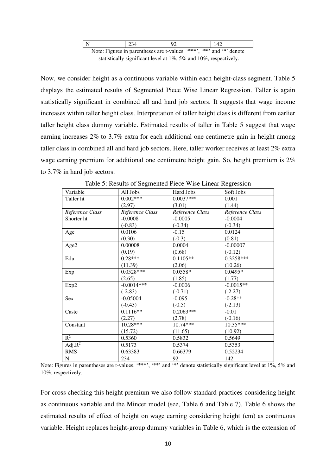|  | 234 | $\alpha$                                                              |  |
|--|-----|-----------------------------------------------------------------------|--|
|  |     | Note: Figures in parentheses are t-values. "***", "**" and "*" denote |  |

statistically significant level at 1%, 5% and 10%, respectively.

Now, we consider height as a continuous variable within each height-class segment. Table 5 displays the estimated results of Segmented Piece Wise Linear Regression. Taller is again statistically significant in combined all and hard job sectors. It suggests that wage income increases within taller height class. Interpretation of taller height class is different from earlier taller height class dummy variable. Estimated results of taller in Table 5 suggest that wage earning increases 2% to 3.7% extra for each additional one centimetre gain in height among taller class in combined all and hard job sectors. Here, taller worker receives at least 2% extra wage earning premium for additional one centimetre height gain. So, height premium is  $2\%$ to 3.7% in hard job sectors.

| Variable        | All Jobs        | Hard Jobs       | Soft Jobs       |
|-----------------|-----------------|-----------------|-----------------|
| Taller ht       | $0.002***$      | $0.0037***$     | 0.001           |
|                 | (2.97)          | (3.01)          | (1.44)          |
| Reference Class | Reference Class | Reference Class | Reference Class |
| Shorter ht      | $-0.0008$       | $-0.0005$       | $-0.0004$       |
|                 | $(-0.83)$       | $(-0.34)$       | $(-0.34)$       |
| Age             | 0.0106          | $-0.15$         | 0.0124          |
|                 | (0.30)          | $(-0.3)$        | (0.81)          |
| Age2            | 0.00008         | 0.0004          | $-0.00007$      |
|                 | (0.19)          | (0.68)          | $(-0.12)$       |
| Edu             | $0.28***$       | $0.1105**$      | 0.3258***       |
|                 | (11.39)         | (2.06)          | (10.26)         |
| Exp             | $0.0528***$     | $0.0558*$       | 0.0495*         |
|                 | (2.65)          | (1.85)          | (1.77)          |
| Exp2            | $-0.0014***$    | $-0.0006$       | $-0.0015**$     |
|                 | $(-2.83)$       | $(-0.71)$       | $(-2.27)$       |
| Sex             | $-0.05004$      | $-0.095$        | $-0.28**$       |
|                 | $(-0.43)$       | $(-0.5)$        | $(-2.13)$       |
| Caste           | $0.1116**$      | $0.2063***$     | $-0.01$         |
|                 | (2.27)          | (2.78)          | $(-0.16)$       |
| Constant        | 10.28***        | $10.74***$      | 10.35***        |
|                 | (15.72)         | (11.65)         | (10.92)         |
| $\mathbb{R}^2$  | 0.5360          | 0.5832          | 0.5649          |
| Adj. $R^2$      | 0.5173          | 0.5374          | 0.5353          |
| <b>RMS</b>      | 0.63383         | 0.66379         | 0.52234         |
| ${\bf N}$       | 234             | 92              | 142             |

Table 5: Results of Segmented Piece Wise Linear Regression

For cross checking this height premium we also follow standard practices considering height as continuous variable and the Mincer model (see, Table 6 and Table 7). Table 6 shows the estimated results of effect of height on wage earning considering height (cm) as continuous variable. Height replaces height-group dummy variables in Table 6, which is the extension of

Note: Figures in parentheses are t-values. '\*\*\*', '\*\*' and '\*' denote statistically significant level at 1%, 5% and 10%, respectively.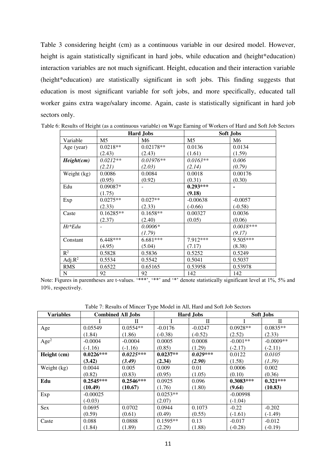Table 3 considering height (cm) as a continuous variable in our desired model. However, height is again statistically significant in hard jobs, while education and (height\*education) interaction variables are not much significant. Height, education and their interaction variable (height\*education) are statistically significant in soft jobs. This finding suggests that education is most significant variable for soft jobs, and more specifically, educated tall worker gains extra wage/salary income. Again, caste is statistically significant in hard job sectors only.

|                | <b>Hard Jobs</b> |                | <b>Soft Jobs</b> |             |  |
|----------------|------------------|----------------|------------------|-------------|--|
| Variable       | M <sub>5</sub>   | M <sub>6</sub> | M5               | M6          |  |
| Age (year)     | $0.0218**$       | $0.02178**$    | 0.0136           | 0.0134      |  |
|                | (2.43)           | (2.43)         | (1.61)           | (1.59)      |  |
| Height(cm)     | $0.0212**$       | $0.01976**$    | $0.0163**$       | 0.006       |  |
|                | (2.21)           | (2.03)         | (2.14)           | (0.79)      |  |
| Weight (kg)    | 0.0086           | 0.0084         | 0.0018           | 0.00176     |  |
|                | (0.95)           | (0.92)         | (0.31)           | (0.30)      |  |
| Edu            | $0.09087*$       |                | $0.293***$       |             |  |
|                | (1.75)           |                | (9.18)           |             |  |
| Exp            | $0.0275**$       | $0.027**$      | $-0.00638$       | $-0.0057$   |  |
|                | (2.33)           | (2.33)         | $(-0.66)$        | $(-0.58)$   |  |
| Caste          | $0.16285**$      | $0.1658**$     | 0.00327          | 0.0036      |  |
|                | (2.37)           | (2.40)         | (0.05)           | (0.06)      |  |
| $Ht*Edu$       |                  | $0.0006*$      |                  | $0.0018***$ |  |
|                |                  | (1.79)         |                  | (9.17)      |  |
| Constant       | $6.448***$       | 6.681***       | 7.912 ***        | 9.505***    |  |
|                | (4.95)           | (5.04)         | (7.17)           | (8.38)      |  |
| $\mathbb{R}^2$ | 0.5828           | 0.5836         | 0.5252           | 0.5249      |  |
| Adj. $R^2$     | 0.5534           | 0.5542         | 0.5041           | 0.5037      |  |
| <b>RMS</b>     | 0.6522           | 0.65165        | 0.53958          | 0.53978     |  |
| N              | 92               | 92             | 142              | 142         |  |

Table 6: Results of Height (as a continuous variable) on Wage Earning of Workers of Hard and Soft Job Sectors

Note: Figures in parentheses are t-values. '\*\*\*', '\*\*' and '\*' denote statistically significant level at 1%, 5% and 10%, respectively.

Table 7: Results of Mincer Type Model in All, Hard and Soft Job Sectors

| <b>Variables</b> | <b>Combined All Jobs</b> |             |            | <b>Hard Jobs</b> |             | <b>Soft Jobs</b> |  |
|------------------|--------------------------|-------------|------------|------------------|-------------|------------------|--|
|                  |                          | Н           |            | П                |             | H                |  |
| Age              | 0.05549                  | $0.0554**$  | $-0.0176$  | $-0.0247$        | $0.0928**$  | $0.0835**$       |  |
|                  | (1.84)                   | (1.86)      | $(-0.38)$  | $(-0.52)$        | (2.52)      | (2.33)           |  |
| Age <sup>2</sup> | $-0.0004$                | $-0.0004$   | 0.0005     | 0.0008           | $-0.001**$  | $-0.0009**$      |  |
|                  | $(-1.16)$                | $(-1.16)$   | (0.85)     | (1.29)           | $(-2.17)$   | $(-2.11)$        |  |
| Height (cm)      | $0.0226***$              | $0.0225***$ | $0.0237**$ | $0.029***$       | 0.0122      | 0.0105           |  |
|                  | (3.42)                   | (3.49)      | (2.34)     | (2.90)           | (1.58)      | (1.39)           |  |
| Weight (kg)      | 0.0044                   | 0.005       | 0.009      | 0.01             | 0.0006      | 0.002            |  |
|                  | (0.82)                   | (0.83)      | (0.95)     | (1.05)           | (0.10)      | (0.36)           |  |
| Edu              | $0.2545***$              | $0.2546***$ | 0.0925     | 0.096            | $0.3083***$ | $0.321***$       |  |
|                  | (10.49)                  | (10.67)     | (1.76)     | (1.80)           | (9.64)      | (10.83)          |  |
| Exp              | $-0.00025$               |             | $0.0253**$ |                  | $-0.00998$  |                  |  |
|                  | $(-0.03)$                |             | (2.07)     |                  | $(-1.04)$   |                  |  |
| Sex              | 0.0695                   | 0.0702      | 0.0944     | 0.1073           | $-0.22$     | $-0.202$         |  |
|                  | (0.59)                   | (0.61)      | (0.49)     | (0.55)           | $(-1.61)$   | $(-1.49)$        |  |
| Caste            | 0.088                    | 0.0888      | $0.1595**$ | 0.13             | $-0.017$    | $-0.012$         |  |
|                  | (1.84)                   | (1.89)      | (2.29)     | (1.88)           | $(-0.28)$   | $(-0.19)$        |  |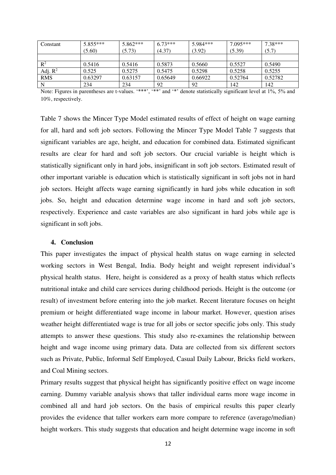| Constant       | $5.855***$ | $5.862***$ | $6.73***$ | 5.984*** | $7.095***$ | $7.38***$ |
|----------------|------------|------------|-----------|----------|------------|-----------|
|                | (5.60)     | (5.73)     | (4.37)    | (3.92)   | (5.39)     | (5.7)     |
|                |            |            |           |          |            |           |
| $\mathbb{R}^2$ | 0.5416     | 0.5416     | 0.5873    | 0.5660   | 0.5527     | 0.5490    |
| Adj. $R^2$     | 0.525      | 0.5275     | 0.5475    | 0.5298   | 0.5258     | 0.5255    |
| <b>RMS</b>     | 0.63297    | 0.63157    | 0.65649   | 0.66922  | 0.52764    | 0.52782   |
|                | 234        | 234        | 92        | 92       | 142        | 142       |

Note: Figures in parentheses are t-values. '\*\*\*', '\*\*' and '\*' denote statistically significant level at 1%, 5% and 10%, respectively.

Table 7 shows the Mincer Type Model estimated results of effect of height on wage earning for all, hard and soft job sectors. Following the Mincer Type Model Table 7 suggests that significant variables are age, height, and education for combined data. Estimated significant results are clear for hard and soft job sectors. Our crucial variable is height which is statistically significant only in hard jobs, insignificant in soft job sectors. Estimated result of other important variable is education which is statistically significant in soft jobs not in hard job sectors. Height affects wage earning significantly in hard jobs while education in soft jobs. So, height and education determine wage income in hard and soft job sectors, respectively. Experience and caste variables are also significant in hard jobs while age is significant in soft jobs.

### **4. Conclusion**

This paper investigates the impact of physical health status on wage earning in selected working sectors in West Bengal, India. Body height and weight represent individual's physical health status. Here, height is considered as a proxy of health status which reflects nutritional intake and child care services during childhood periods. Height is the outcome (or result) of investment before entering into the job market. Recent literature focuses on height premium or height differentiated wage income in labour market. However, question arises weather height differentiated wage is true for all jobs or sector specific jobs only. This study attempts to answer these questions. This study also re-examines the relationship between height and wage income using primary data. Data are collected from six different sectors such as Private, Public, Informal Self Employed, Casual Daily Labour, Bricks field workers, and Coal Mining sectors.

Primary results suggest that physical height has significantly positive effect on wage income earning. Dummy variable analysis shows that taller individual earns more wage income in combined all and hard job sectors. On the basis of empirical results this paper clearly provides the evidence that taller workers earn more compare to reference (average/median) height workers. This study suggests that education and height determine wage income in soft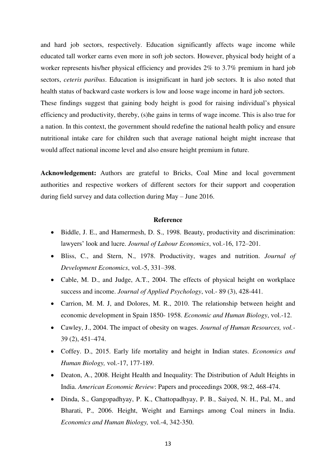and hard job sectors, respectively. Education significantly affects wage income while educated tall worker earns even more in soft job sectors. However, physical body height of a worker represents his/her physical efficiency and provides 2% to 3.7% premium in hard job sectors, *ceteris paribus*. Education is insignificant in hard job sectors. It is also noted that health status of backward caste workers is low and loose wage income in hard job sectors.

These findings suggest that gaining body height is good for raising individual's physical efficiency and productivity, thereby, (s)he gains in terms of wage income. This is also true for a nation. In this context, the government should redefine the national health policy and ensure nutritional intake care for children such that average national height might increase that would affect national income level and also ensure height premium in future.

**Acknowledgement:** Authors are grateful to Bricks, Coal Mine and local government authorities and respective workers of different sectors for their support and cooperation during field survey and data collection during May – June 2016.

# **Reference**

- Biddle, J. E., and Hamermesh, D. S., 1998. Beauty, productivity and discrimination: lawyers' look and lucre. *Journal of Labour Economics*, vol.-16, 172–201.
- Bliss, C., and Stern, N., 1978. Productivity, wages and nutrition. *Journal of Development Economics*, vol.-5, 331–398.
- Cable, M. D., and Judge, A.T., 2004. The effects of physical height on workplace success and income. *Journal of Applied Psychology*, vol.- 89 (3), 428-441.
- Carrion, M. M. J, and Dolores, M. R., 2010. The relationship between height and economic development in Spain 1850- 1958. *Economic and Human Biology*, vol.-12.
- Cawley, J., 2004. The impact of obesity on wages. *Journal of Human Resources, vol.-* 39 (2), 451–474.
- Coffey. D., 2015. Early life mortality and height in Indian states. *Economics and Human Biology,* vol.-17, 177-189.
- Deaton, A., 2008. Height Health and Inequality: The Distribution of Adult Heights in India. *American Economic Review*: Papers and proceedings 2008, 98:2, 468-474.
- Dinda, S., Gangopadhyay, P. K., Chattopadhyay, P. B., Saiyed, N. H., Pal, M., and Bharati, P., 2006. Height, Weight and Earnings among Coal miners in India. *Economics and Human Biology,* vol.-4, 342-350.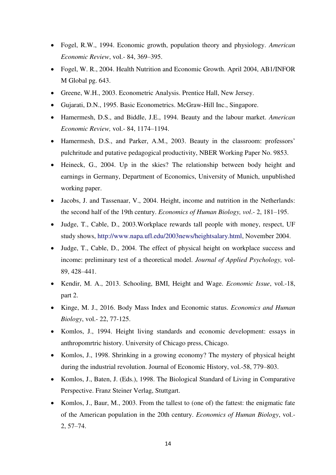- Fogel, R.W., 1994. Economic growth, population theory and physiology. *American Economic Review*, vol.- 84, 369–395.
- Fogel, W. R., 2004. Health Nutrition and Economic Growth. April 2004, AB1/INFOR M Global pg. 643.
- Greene, W.H., 2003. Econometric Analysis. Prentice Hall, New Jersey.
- Gujarati, D.N., 1995. Basic Econometrics. McGraw-Hill Inc., Singapore.
- Hamermesh, D.S., and Biddle, J.E., 1994. Beauty and the labour market. *American Economic Review,* vol.- 84, 1174–1194.
- Hamermesh, D.S., and Parker, A.M., 2003. Beauty in the classroom: professors' pulchritude and putative pedagogical productivity, NBER Working Paper No. 9853.
- Heineck, G., 2004. Up in the skies? The relationship between body height and earnings in Germany, Department of Economics, University of Munich, unpublished working paper.
- Jacobs, J. and Tassenaar, V., 2004. Height, income and nutrition in the Netherlands: the second half of the 19th century. *Economics of Human Biology, vol*.- 2, 181–195.
- Judge, T., Cable, D., 2003.Workplace rewards tall people with money, respect, UF study shows, http://www.napa.ufl.edu/2003news/heightsalary.html, November 2004.
- Judge, T., Cable, D., 2004. The effect of physical height on workplace success and income: preliminary test of a theoretical model. *Journal of Applied Psychology,* vol-89, 428–441.
- Kendir, M. A., 2013. Schooling, BMI, Height and Wage. *Economic Issue*, vol.-18, part 2.
- Kinge, M. J., 2016. Body Mass Index and Economic status. *Economics and Human Biology*, vol.- 22, 77-125.
- Komlos, J., 1994. Height living standards and economic development: essays in anthropomrtric history. University of Chicago press, Chicago.
- Komlos, J., 1998. Shrinking in a growing economy? The mystery of physical height during the industrial revolution. Journal of Economic History, vol.-58, 779–803.
- Komlos, J., Baten, J. (Eds.), 1998. The Biological Standard of Living in Comparative Perspective. Franz Steiner Verlag, Stuttgart.
- Komlos, J., Baur, M., 2003. From the tallest to (one of) the fattest: the enigmatic fate of the American population in the 20th century. *Economics of Human Biology*, vol.- 2, 57–74.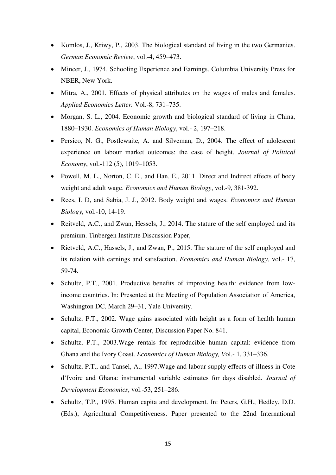- Komlos, J., Kriwy, P., 2003. The biological standard of living in the two Germanies. *German Economic Review*, vol.-4, 459–473.
- Mincer, J., 1974. Schooling Experience and Earnings. Columbia University Press for NBER, New York.
- Mitra, A., 2001. Effects of physical attributes on the wages of males and females. *Applied Economics Letter.* Vol.-8, 731–735.
- Morgan, S. L., 2004. Economic growth and biological standard of living in China, 1880–1930. *Economics of Human Biology*, vol.- 2, 197–218.
- Persico, N. G., Postlewaite, A. and Silveman, D., 2004. The effect of adolescent experience on labour market outcomes: the case of height. *Journal of Political Economy*, vol.-112 (5), 1019–1053.
- Powell, M. L., Norton, C. E., and Han, E., 2011. Direct and Indirect effects of body weight and adult wage. *Economics and Human Biology*, vol.-9, 381-392.
- Rees, I. D, and Sabia, J. J., 2012. Body weight and wages. *Economics and Human Biology*, vol.-10, 14-19.
- Reitveld, A.C., and Zwan, Hessels, J., 2014. The stature of the self employed and its premium. Tinbergen Institute Discussion Paper,
- Rietveld, A.C., Hassels, J., and Zwan, P., 2015. The stature of the self employed and its relation with earnings and satisfaction. *Economics and Human Biology*, vol.- 17, 59-74.
- Schultz, P.T., 2001. Productive benefits of improving health: evidence from lowincome countries. In: Presented at the Meeting of Population Association of America, Washington DC, March 29–31, Yale University.
- Schultz, P.T., 2002. Wage gains associated with height as a form of health human capital, Economic Growth Center, Discussion Paper No. 841.
- Schultz, P.T., 2003.Wage rentals for reproducible human capital: evidence from Ghana and the Ivory Coast. *Economics of Human Biology, V*ol.- 1, 331–336.
- Schultz, P.T., and Tansel, A., 1997. Wage and labour supply effects of illness in Cote d'Ivoire and Ghana: instrumental variable estimates for days disabled. *Journal of Development Economics*, vol.-53, 251–286.
- Schultz, T.P., 1995. Human capita and development. In: Peters, G.H., Hedley, D.D. (Eds.), Agricultural Competitiveness. Paper presented to the 22nd International